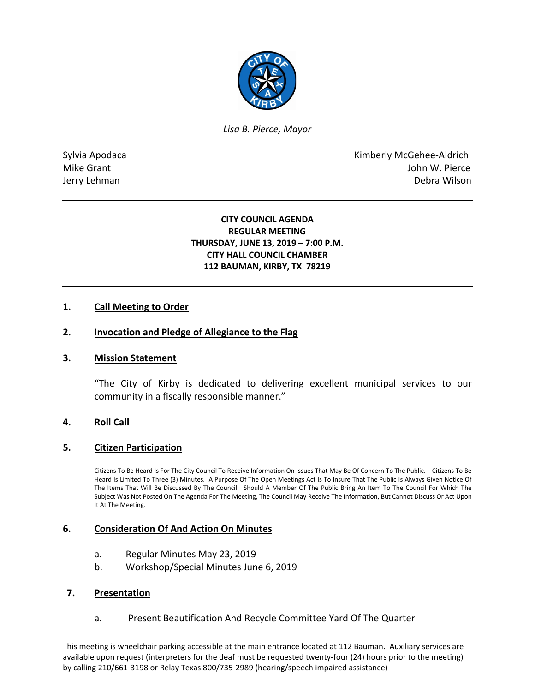

*Lisa B. Pierce, Mayor* 

Sylvia Apodaca **Kimberly McGehee-Aldrich** Mike Grant **Mike Grant** John W. Pierce Jerry Lehman Debra Wilson

## **CITY COUNCIL AGENDA REGULAR MEETING THURSDAY, JUNE 13, 2019 – 7:00 P.M. CITY HALL COUNCIL CHAMBER 112 BAUMAN, KIRBY, TX 78219**

## **1. Call Meeting to Order**

### **2. Invocation and Pledge of Allegiance to the Flag**

### **3. Mission Statement**

"The City of Kirby is dedicated to delivering excellent municipal services to our community in a fiscally responsible manner."

### **4. Roll Call**

#### **5. Citizen Participation**

Citizens To Be Heard Is For The City Council To Receive Information On Issues That May Be Of Concern To The Public. Citizens To Be Heard Is Limited To Three (3) Minutes. A Purpose Of The Open Meetings Act Is To Insure That The Public Is Always Given Notice Of The Items That Will Be Discussed By The Council. Should A Member Of The Public Bring An Item To The Council For Which The Subject Was Not Posted On The Agenda For The Meeting, The Council May Receive The Information, But Cannot Discuss Or Act Upon It At The Meeting.

#### **6. Consideration Of And Action On Minutes**

- a. Regular Minutes May 23, 2019
- b. Workshop/Special Minutes June 6, 2019

### **7. Presentation**

a. Present Beautification And Recycle Committee Yard Of The Quarter

This meeting is wheelchair parking accessible at the main entrance located at 112 Bauman. Auxiliary services are available upon request (interpreters for the deaf must be requested twenty-four (24) hours prior to the meeting) by calling 210/661-3198 or Relay Texas 800/735-2989 (hearing/speech impaired assistance)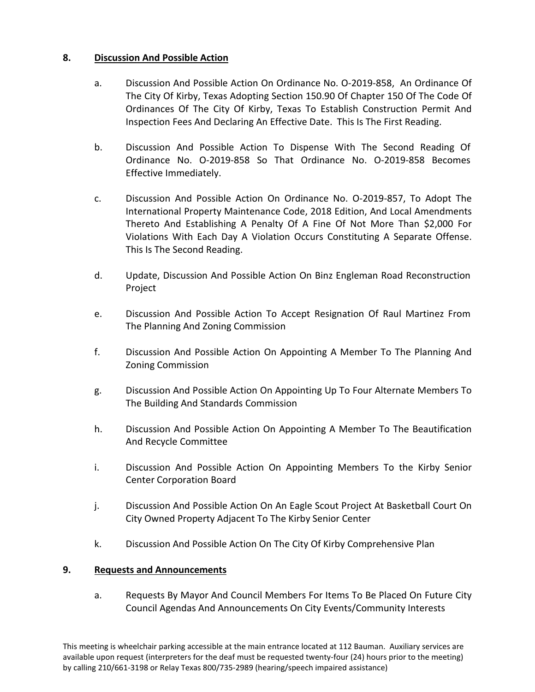# **8. Discussion And Possible Action**

- a. Discussion And Possible Action On Ordinance No. O-2019-858, An Ordinance Of The City Of Kirby, Texas Adopting Section 150.90 Of Chapter 150 Of The Code Of Ordinances Of The City Of Kirby, Texas To Establish Construction Permit And Inspection Fees And Declaring An Effective Date. This Is The First Reading.
- b. Discussion And Possible Action To Dispense With The Second Reading Of Ordinance No. O-2019-858 So That Ordinance No. O-2019-858 Becomes Effective Immediately.
- c. Discussion And Possible Action On Ordinance No. O-2019-857, To Adopt The International Property Maintenance Code, 2018 Edition, And Local Amendments Thereto And Establishing A Penalty Of A Fine Of Not More Than \$2,000 For Violations With Each Day A Violation Occurs Constituting A Separate Offense. This Is The Second Reading.
- d. Update, Discussion And Possible Action On Binz Engleman Road Reconstruction Project
- e. Discussion And Possible Action To Accept Resignation Of Raul Martinez From The Planning And Zoning Commission
- f. Discussion And Possible Action On Appointing A Member To The Planning And Zoning Commission
- g. Discussion And Possible Action On Appointing Up To Four Alternate Members To The Building And Standards Commission
- h. Discussion And Possible Action On Appointing A Member To The Beautification And Recycle Committee
- i. Discussion And Possible Action On Appointing Members To the Kirby Senior Center Corporation Board
- j. Discussion And Possible Action On An Eagle Scout Project At Basketball Court On City Owned Property Adjacent To The Kirby Senior Center
- k. Discussion And Possible Action On The City Of Kirby Comprehensive Plan

## **9. Requests and Announcements**

a. Requests By Mayor And Council Members For Items To Be Placed On Future City Council Agendas And Announcements On City Events/Community Interests